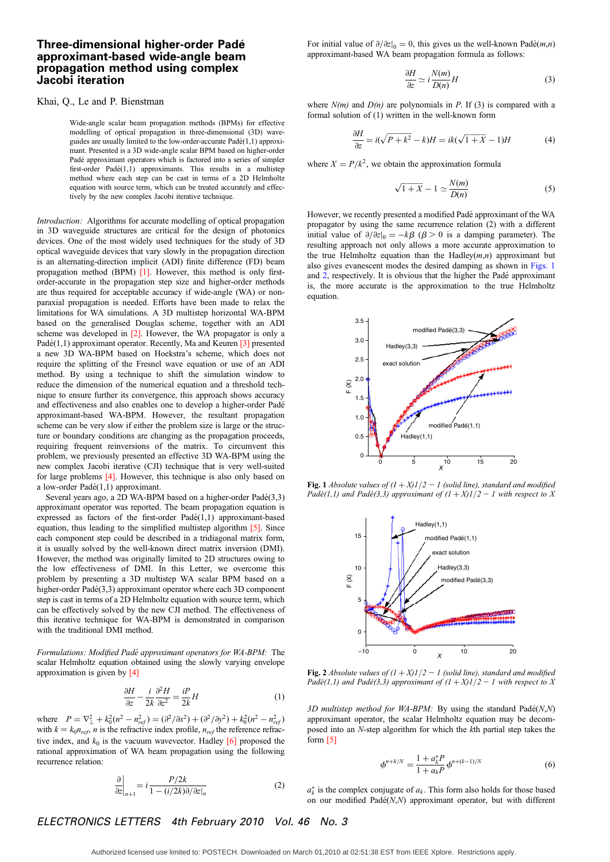## Three-dimensional higher-order Pade´ approximant-based wide-angle beam propagation method using complex Jacobi iteration

## Khai, Q., Le and P. Bienstman

Wide-angle scalar beam propagation methods (BPMs) for effective modelling of optical propagation in three-dimensional (3D) waveguides are usually limited to the low-order-accurate  $Padé(1,1)$  approximant. Presented is a 3D wide-angle scalar BPM based on higher-order Padé approximant operators which is factored into a series of simpler first-order Padé $(1,1)$  approximants. This results in a multistep method where each step can be cast in terms of a 2D Helmholtz equation with source term, which can be treated accurately and effectively by the new complex Jacobi iterative technique.

Introduction: Algorithms for accurate modelling of optical propagation in 3D waveguide structures are critical for the design of photonics devices. One of the most widely used techniques for the study of 3D optical waveguide devices that vary slowly in the propagation direction is an alternating-direction implicit (ADI) finite difference (FD) beam propagation method (BPM) [1]. However, this method is only firstorder-accurate in the propagation step size and higher-order methods are thus required for acceptable accuracy if wide-angle (WA) or nonparaxial propagation is needed. Efforts have been made to relax the limitations for WA simulations. A 3D multistep horizontal WA-BPM based on the generalised Douglas scheme, together with an ADI scheme was developed in [2]. However, the WA propagator is only a Padé(1,1) approximant operator. Recently, Ma and Keuren  $\lceil 3 \rceil$  presented a new 3D WA-BPM based on Hoekstra's scheme, which does not require the splitting of the Fresnel wave equation or use of an ADI method. By using a technique to shift the simulation window to reduce the dimension of the numerical equation and a threshold technique to ensure further its convergence, this approach shows accuracy and effectiveness and also enables one to develop a higher-order Pade´ approximant-based WA-BPM. However, the resultant propagation scheme can be very slow if either the problem size is large or the structure or boundary conditions are changing as the propagation proceeds, requiring frequent reinversions of the matrix. To circumvent this problem, we previously presented an effective 3D WA-BPM using the new complex Jacobi iterative (CJI) technique that is very well-suited for large problems [4]. However, this technique is also only based on a low-order  $Padé(1,1)$  approximant.

Several years ago, a 2D WA-BPM based on a higher-order Padé(3,3) approximant operator was reported. The beam propagation equation is expressed as factors of the first-order  $Padé(1,1)$  approximant-based equation, thus leading to the simplified multistep algorithm [5]. Since each component step could be described in a tridiagonal matrix form, it is usually solved by the well-known direct matrix inversion (DMI). However, the method was originally limited to 2D structures owing to the low effectiveness of DMI. In this Letter, we overcome this problem by presenting a 3D multistep WA scalar BPM based on a higher-order  $Padé(3,3)$  approximant operator where each 3D component step is cast in terms of a 2D Helmholtz equation with source term, which can be effectively solved by the new CJI method. The effectiveness of this iterative technique for WA-BPM is demonstrated in comparison with the traditional DMI method.

Formulations: Modified Padé approximant operators for WA-BPM: The scalar Helmholtz equation obtained using the slowly varying envelope approximation is given by [4]

$$
\frac{\partial H}{\partial z} - \frac{i}{2k} \frac{\partial^2 H}{\partial z^2} = \frac{i}{2k} H \tag{1}
$$

where  $P = \nabla_{\perp}^2 + k_0^2 (n^2 - n_{ref}^2) = (\partial^2 / \partial x^2) + (\partial^2 / \partial y^2) + k_0^2 (n^2 - n_{ref}^2)$ with  $k = k_0 n_{ref}$ , *n* is the refractive index profile,  $n_{ref}$  the reference refractive index, and  $k_0$  is the vacuum wavevector. Hadley [6] proposed the rational approximation of WA beam propagation using the following recurrence relation:

$$
\frac{\partial}{\partial z}\bigg|_{n+1} = i \frac{P/2k}{1 - (i/2k)\partial/\partial z|_n}
$$
 (2)

For initial value of  $\partial/\partial z|_0 = 0$ , this gives us the well-known Padé(*m*,*n*) approximant-based WA beam propagation formula as follows:

$$
\frac{\partial H}{\partial z} \simeq i \frac{N(m)}{D(n)} H \tag{3}
$$

where  $N(m)$  and  $D(n)$  are polynomials in P. If (3) is compared with a formal solution of (1) written in the well-known form

$$
\frac{\partial H}{\partial z} = i(\sqrt{P + k^2} - k)H = ik(\sqrt{1 + X} - 1)H\tag{4}
$$

where  $X = P/k^2$ , we obtain the approximation formula

$$
\sqrt{1+X} - 1 \simeq \frac{N(m)}{D(n)}\tag{5}
$$

However, we recently presented a modified Pade´ approximant of the WA propagator by using the same recurrence relation (2) with a different initial value of  $\partial/\partial z|_0 = -k\beta$  ( $\beta > 0$  is a damping parameter). The resulting approach not only allows a more accurate approximation to the true Helmholtz equation than the Hadley $(m,n)$  approximant but also gives evanescent modes the desired damping as shown in Figs. 1 and 2, respectively. It is obvious that the higher the Padé approximant is, the more accurate is the approximation to the true Helmholtz equation.



Fig. 1 Absolute values of  $(1 + X)1/2 - 1$  (solid line), standard and modified Padé(1,1) and Padé(3,3) approximant of  $(1 + X)1/2 - 1$  with respect to X



Fig. 2 Absolute values of  $(1 + X)1/2 - 1$  (solid line), standard and modified Padé(1,1) and Padé(3,3) approximant of  $(1 + X)1/2 - 1$  with respect to X

3D multistep method for WA-BPM: By using the standard  $Pad\acute{e}(N,N)$ approximant operator, the scalar Helmholtz equation may be decomposed into an N-step algorithm for which the kth partial step takes the form [5]

$$
\phi^{n+k/N} = \frac{1 + a_k^* P}{1 + a_k P} \phi^{n+(k-1)/N} \tag{6}
$$

 $a_k^*$  is the complex conjugate of  $a_k$ . This form also holds for those based on our modified  $Padé(N,N)$  approximant operator, but with different

ELECTRONICS LETTERS 4th February 2010 Vol. 46 No. 3

Authorized licensed use limited to: POSTECH. Downloaded on March 01,2010 at 02:51:38 EST from IEEE Xplore. Restrictions apply.